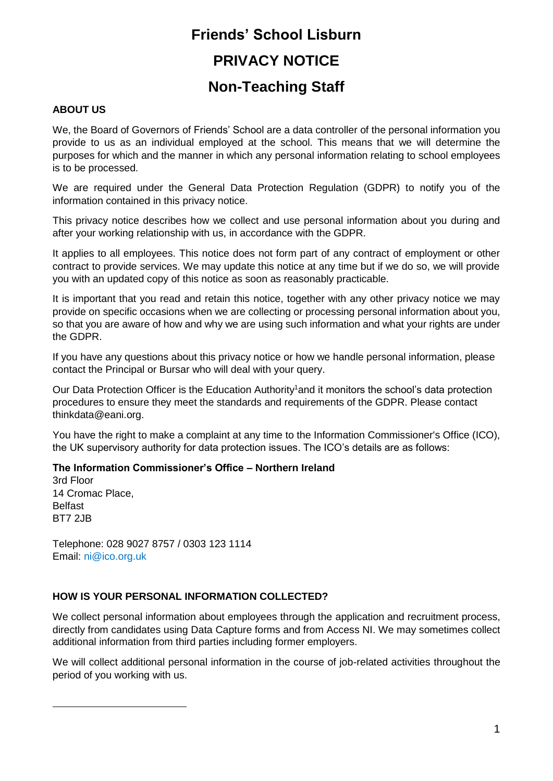# **Friends' School Lisburn PRIVACY NOTICE Non-Teaching Staff**

#### **ABOUT US**

We, the Board of Governors of Friends' School are a data controller of the personal information you provide to us as an individual employed at the school. This means that we will determine the purposes for which and the manner in which any personal information relating to school employees is to be processed.

We are required under the General Data Protection Regulation (GDPR) to notify you of the information contained in this privacy notice.

This privacy notice describes how we collect and use personal information about you during and after your working relationship with us, in accordance with the GDPR.

It applies to all employees. This notice does not form part of any contract of employment or other contract to provide services. We may update this notice at any time but if we do so, we will provide you with an updated copy of this notice as soon as reasonably practicable.

It is important that you read and retain this notice, together with any other privacy notice we may provide on specific occasions when we are collecting or processing personal information about you, so that you are aware of how and why we are using such information and what your rights are under the GDPR.

If you have any questions about this privacy notice or how we handle personal information, please contact the Principal or Bursar who will deal with your query.

Our Data Protection Officer is the Education Authority<sup>1</sup>and it monitors the school's data protection procedures to ensure they meet the standards and requirements of the GDPR. Please contact thinkdata@eani.org.

You have the right to make a complaint at any time to the Information Commissioner's Office (ICO), the UK supervisory authority for data protection issues. The ICO's details are as follows:

#### **The Information Commissioner's Office – Northern Ireland**

3rd Floor 14 Cromac Place, Belfast BT7 2JB

1

Telephone: 028 9027 8757 / 0303 123 1114 Email: ni@ico.org.uk

#### **HOW IS YOUR PERSONAL INFORMATION COLLECTED?**

We collect personal information about employees through the application and recruitment process, directly from candidates using Data Capture forms and from Access NI. We may sometimes collect additional information from third parties including former employers.

We will collect additional personal information in the course of job-related activities throughout the period of you working with us.

1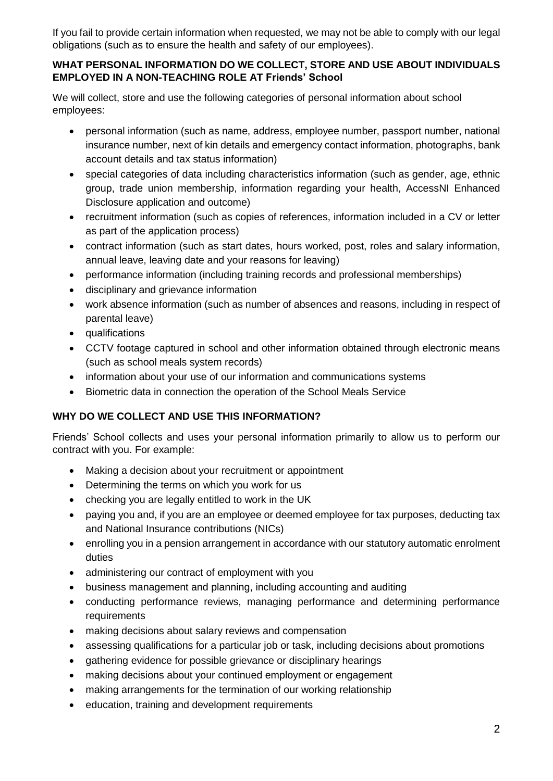If you fail to provide certain information when requested, we may not be able to comply with our legal obligations (such as to ensure the health and safety of our employees).

#### **WHAT PERSONAL INFORMATION DO WE COLLECT, STORE AND USE ABOUT INDIVIDUALS EMPLOYED IN A NON-TEACHING ROLE AT Friends' School**

We will collect, store and use the following categories of personal information about school employees:

- personal information (such as name, address, employee number, passport number, national insurance number, next of kin details and emergency contact information, photographs, bank account details and tax status information)
- special categories of data including characteristics information (such as gender, age, ethnic group, trade union membership, information regarding your health, AccessNI Enhanced Disclosure application and outcome)
- recruitment information (such as copies of references, information included in a CV or letter as part of the application process)
- contract information (such as start dates, hours worked, post, roles and salary information, annual leave, leaving date and your reasons for leaving)
- performance information (including training records and professional memberships)
- disciplinary and grievance information
- work absence information (such as number of absences and reasons, including in respect of parental leave)
- qualifications
- CCTV footage captured in school and other information obtained through electronic means (such as school meals system records)
- information about your use of our information and communications systems
- Biometric data in connection the operation of the School Meals Service

# **WHY DO WE COLLECT AND USE THIS INFORMATION?**

Friends' School collects and uses your personal information primarily to allow us to perform our contract with you. For example:

- Making a decision about your recruitment or appointment
- Determining the terms on which you work for us
- checking you are legally entitled to work in the UK
- paying you and, if you are an employee or deemed employee for tax purposes, deducting tax and National Insurance contributions (NICs)
- enrolling you in a pension arrangement in accordance with our statutory automatic enrolment duties
- administering our contract of employment with you
- business management and planning, including accounting and auditing
- conducting performance reviews, managing performance and determining performance requirements
- making decisions about salary reviews and compensation
- assessing qualifications for a particular job or task, including decisions about promotions
- gathering evidence for possible grievance or disciplinary hearings
- making decisions about your continued employment or engagement
- making arrangements for the termination of our working relationship
- education, training and development requirements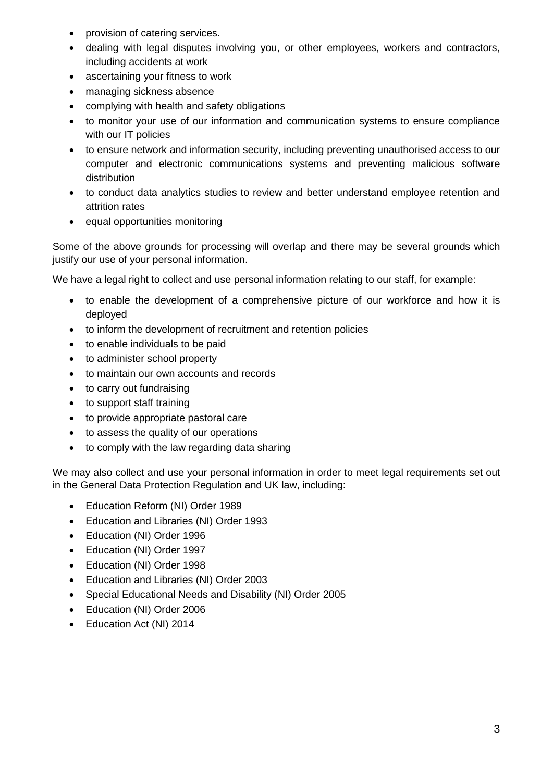- provision of catering services.
- dealing with legal disputes involving you, or other employees, workers and contractors, including accidents at work
- ascertaining your fitness to work
- managing sickness absence
- complying with health and safety obligations
- to monitor your use of our information and communication systems to ensure compliance with our IT policies
- to ensure network and information security, including preventing unauthorised access to our computer and electronic communications systems and preventing malicious software distribution
- to conduct data analytics studies to review and better understand employee retention and attrition rates
- equal opportunities monitoring

Some of the above grounds for processing will overlap and there may be several grounds which justify our use of your personal information.

We have a legal right to collect and use personal information relating to our staff, for example:

- to enable the development of a comprehensive picture of our workforce and how it is deployed
- to inform the development of recruitment and retention policies
- to enable individuals to be paid
- to administer school property
- to maintain our own accounts and records
- to carry out fundraising
- to support staff training
- to provide appropriate pastoral care
- to assess the quality of our operations
- to comply with the law regarding data sharing

We may also collect and use your personal information in order to meet legal requirements set out in the General Data Protection Regulation and UK law, including:

- Education Reform (NI) Order 1989
- Education and Libraries (NI) Order 1993
- Education (NI) Order 1996
- Education (NI) Order 1997
- Education (NI) Order 1998
- Education and Libraries (NI) Order 2003
- Special Educational Needs and Disability (NI) Order 2005
- Education (NI) Order 2006
- Education Act (NI) 2014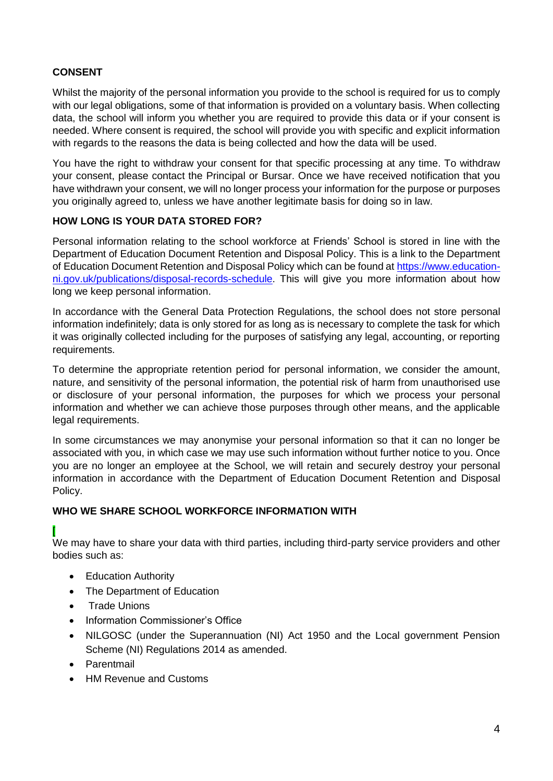## **CONSENT**

Whilst the majority of the personal information you provide to the school is required for us to comply with our legal obligations, some of that information is provided on a voluntary basis. When collecting data, the school will inform you whether you are required to provide this data or if your consent is needed. Where consent is required, the school will provide you with specific and explicit information with regards to the reasons the data is being collected and how the data will be used.

You have the right to withdraw your consent for that specific processing at any time. To withdraw your consent, please contact the Principal or Bursar. Once we have received notification that you have withdrawn your consent, we will no longer process your information for the purpose or purposes you originally agreed to, unless we have another legitimate basis for doing so in law.

### **HOW LONG IS YOUR DATA STORED FOR?**

Personal information relating to the school workforce at Friends' School is stored in line with the Department of Education Document Retention and Disposal Policy. This is a link to the Department of Education Document Retention and Disposal Policy which can be found at [https://www.education](https://www.education-ni.gov.uk/publications/disposal-records-schedule)[ni.gov.uk/publications/disposal-records-schedule.](https://www.education-ni.gov.uk/publications/disposal-records-schedule) This will give you more information about how long we keep personal information.

In accordance with the General Data Protection Regulations, the school does not store personal information indefinitely; data is only stored for as long as is necessary to complete the task for which it was originally collected including for the purposes of satisfying any legal, accounting, or reporting requirements.

To determine the appropriate retention period for personal information, we consider the amount, nature, and sensitivity of the personal information, the potential risk of harm from unauthorised use or disclosure of your personal information, the purposes for which we process your personal information and whether we can achieve those purposes through other means, and the applicable legal requirements.

In some circumstances we may anonymise your personal information so that it can no longer be associated with you, in which case we may use such information without further notice to you. Once you are no longer an employee at the School, we will retain and securely destroy your personal information in accordance with the Department of Education Document Retention and Disposal Policy.

### **WHO WE SHARE SCHOOL WORKFORCE INFORMATION WITH**

We may have to share your data with third parties, including third-party service providers and other bodies such as:

- Education Authority
- The Department of Education
- Trade Unions

[

- Information Commissioner's Office
- NILGOSC (under the Superannuation (NI) Act 1950 and the Local government Pension Scheme (NI) Regulations 2014 as amended.
- Parentmail
- HM Revenue and Customs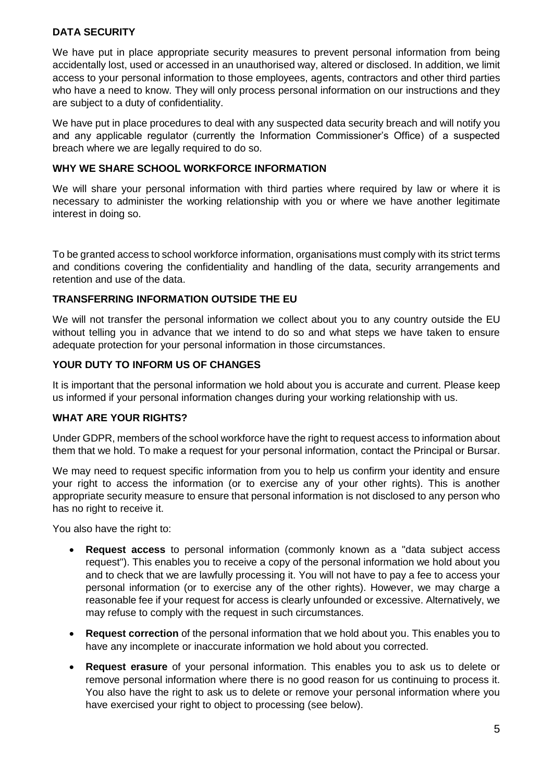### **DATA SECURITY**

We have put in place appropriate security measures to prevent personal information from being accidentally lost, used or accessed in an unauthorised way, altered or disclosed. In addition, we limit access to your personal information to those employees, agents, contractors and other third parties who have a need to know. They will only process personal information on our instructions and they are subject to a duty of confidentiality.

We have put in place procedures to deal with any suspected data security breach and will notify you and any applicable regulator (currently the Information Commissioner's Office) of a suspected breach where we are legally required to do so.

### **WHY WE SHARE SCHOOL WORKFORCE INFORMATION**

We will share your personal information with third parties where required by law or where it is necessary to administer the working relationship with you or where we have another legitimate interest in doing so.

To be granted access to school workforce information, organisations must comply with its strict terms and conditions covering the confidentiality and handling of the data, security arrangements and retention and use of the data.

### **TRANSFERRING INFORMATION OUTSIDE THE EU**

We will not transfer the personal information we collect about you to any country outside the EU without telling you in advance that we intend to do so and what steps we have taken to ensure adequate protection for your personal information in those circumstances.

### **YOUR DUTY TO INFORM US OF CHANGES**

It is important that the personal information we hold about you is accurate and current. Please keep us informed if your personal information changes during your working relationship with us.

### **WHAT ARE YOUR RIGHTS?**

Under GDPR, members of the school workforce have the right to request access to information about them that we hold. To make a request for your personal information, contact the Principal or Bursar.

We may need to request specific information from you to help us confirm your identity and ensure your right to access the information (or to exercise any of your other rights). This is another appropriate security measure to ensure that personal information is not disclosed to any person who has no right to receive it.

You also have the right to:

- **Request access** to personal information (commonly known as a "data subject access request"). This enables you to receive a copy of the personal information we hold about you and to check that we are lawfully processing it. You will not have to pay a fee to access your personal information (or to exercise any of the other rights). However, we may charge a reasonable fee if your request for access is clearly unfounded or excessive. Alternatively, we may refuse to comply with the request in such circumstances.
- **Request correction** of the personal information that we hold about you. This enables you to have any incomplete or inaccurate information we hold about you corrected.
- **Request erasure** of your personal information. This enables you to ask us to delete or remove personal information where there is no good reason for us continuing to process it. You also have the right to ask us to delete or remove your personal information where you have exercised your right to object to processing (see below).